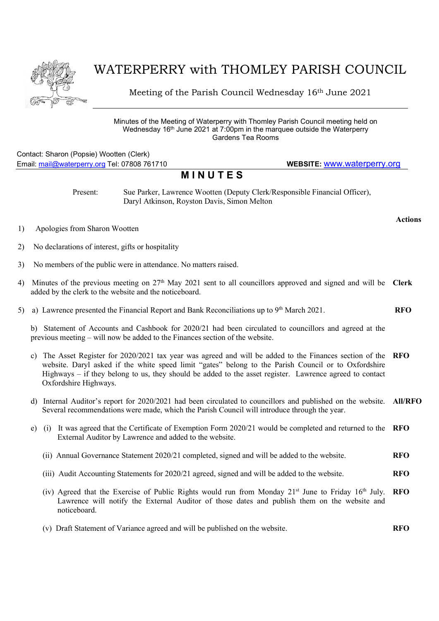

## WATERPERRY with THOMLEY PARISH COUNCIL

Meeting of the Parish Council Wednesday 16th June 2021

Minutes of the Meeting of Waterperry with Thomley Parish Council meeting held on Wednesday 16<sup>th</sup> June 2021 at 7:00pm in the marquee outside the Waterperry Gardens Tea Rooms

## Contact: Sharon (Popsie) Wootten (Clerk) Email: mail@waterperry.org Tel: 07808 761710 WEBSITE: www.waterperry.org

## **MINUTES**

Present: Sue Parker, Lawrence Wootten (Deputy Clerk/Responsible Financial Officer), Daryl Atkinson, Royston Davis, Simon Melton

- 1) Apologies from Sharon Wootten
- 2) No declarations of interest, gifts or hospitality
- 3) No members of the public were in attendance. No matters raised.
- 4) Minutes of the previous meeting on  $27<sup>th</sup>$  May 2021 sent to all councillors approved and signed and will be Clerk added by the clerk to the website and the noticeboard.
- 5) a) Lawrence presented the Financial Report and Bank Reconciliations up to  $9<sup>th</sup>$  March 2021. RFO

b) Statement of Accounts and Cashbook for 2020/21 had been circulated to councillors and agreed at the previous meeting – will now be added to the Finances section of the website.

- c) The Asset Register for 2020/2021 tax year was agreed and will be added to the Finances section of the website. Daryl asked if the white speed limit "gates" belong to the Parish Council or to Oxfordshire Highways – if they belong to us, they should be added to the asset register. Lawrence agreed to contact Oxfordshire Highways. RFO
- d) Internal Auditor's report for 2020/2021 had been circulated to councillors and published on the website. All/RFO Several recommendations were made, which the Parish Council will introduce through the year.
- e) (i) It was agreed that the Certificate of Exemption Form 2020/21 would be completed and returned to the RFO External Auditor by Lawrence and added to the website.
	- (ii) Annual Governance Statement 2020/21 completed, signed and will be added to the website. **RFO**
	- (iii) Audit Accounting Statements for 2020/21 agreed, signed and will be added to the website. **RFO**
	- (iv) Agreed that the Exercise of Public Rights would run from Monday  $21<sup>st</sup>$  June to Friday  $16<sup>th</sup>$  July. Lawrence will notify the External Auditor of those dates and publish them on the website and noticeboard. RFO
	- (v) Draft Statement of Variance agreed and will be published on the website. **RFO**

Actions